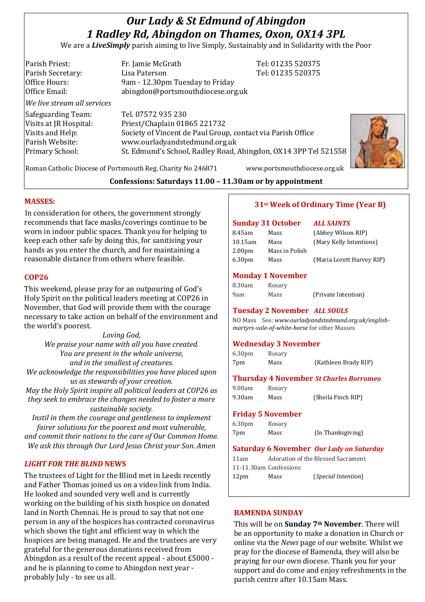# *Our Lady & St Edmund of Abingdon 1 Radley Rd, Abingdon on Thames, Oxon, OX14 3PL*

We are a *LiveSimply* parish aiming to live Simply, Sustainably and in Solidarity with the Poor

Parish Priest: Fr. Jamie McGrath Tel: 01235 520375 Parish Secretary: Tel: 01235 520375 Office Hours: 9am - 12.30pm Tuesday to Friday Office Email: abingdon@portsmouthdiocese.org.uk *We live stream all services* Safeguarding Team: Tel. 07572 935 230 Visits at JR Hospital: Priest/Chaplain 01865 221732 Visits and Help: Society of Vincent de Paul Group, contact via Parish Office Parish Website: www.ourladyandstedmund.org.uk Primary School: St. Edmund's School, Radley Road, Abingdon, OX14 3PP Tel 521558



Roman Catholic Diocese of Portsmouth Reg. Charity No 246871 www.portsmouthdiocese.org.uk

**Confessions: Saturdays 11.00 – 11.30am or by appointment**

# **MASSES:**

In consideration for others, the government strongly recommends that face masks/coverings continue to be worn in indoor public spaces. Thank you for helping to keep each other safe by doing this, for sanitising your hands as you enter the church, and for maintaining a reasonable distance from others where feasible.

# **COP26**

This weekend, please pray for an outpouring of God's Holy Spirit on the political leaders meeting at COP26 in November, that God will provide them with the courage necessary to take action on behalf of the environment and the world's poorest.

*Loving God, We praise your name with all you have created. You are present in the whole universe, and in the smallest of creatures. We acknowledge the responsibilities you have placed upon us as stewards of your creation.*

*May the Holy Spirit inspire all political leaders at COP26 as they seek to embrace the changes needed to foster a more sustainable society.*

*Instil in them the courage and gentleness to implement fairer solutions for the poorest and most vulnerable, and commit their nations to the care of Our Common Home. We ask this through Our Lord Jesus Christ your Son. Amen*

# *LIGHT FOR THE BLIND* **NEWS**

The trustees of Light for the Blind met in Leeds recently and Father Thomas joined us on a video link from India. He looked and sounded very well and is currently working on the building of his sixth hospice on donated land in North Chennai. He is proud to say that not one person in any of the hospices has contracted coronavirus which shows the tight and efficient way in which the hospices are being managed. He and the trustees are very grateful for the generous donations received from Abingdon as a result of the recent appeal - about £5000 and he is planning to come to Abingdon next year probably July - to see us all.

# **31st Week of Ordinary Time (Year B)**

#### **Sunday 31 October** *ALL SAINTS*

| 8.45am             | Mass           | (Abbey Wilson RIP)        |
|--------------------|----------------|---------------------------|
| $10.15$ am         | Mass           | (Mary Kelly Intentions)   |
| 2.00 <sub>pm</sub> | Mass in Polish |                           |
| 6.30 <sub>pm</sub> | Mass           | (Maria Lorett Harvey RIP) |
|                    |                |                           |

# **Monday 1 November**

| 8.30am | Rosary |                     |
|--------|--------|---------------------|
| 9am    | Mass   | (Private Intention) |

### **Tuesday 2 November** *ALL SOULS*

NO Mass See: *www.ourladyandstedmund.org.uk/englishmartyrs-vale-of-white-horse* for other Masses

### **Wednesday 3 November**

| 6.30 <sub>pm</sub> | Rosary |                      |
|--------------------|--------|----------------------|
| 7pm                | Mass   | (Kathleen Brady RIP) |

### **Thursday 4 November** *St Charles Borromeo*

9.30am Mass (Sheila Finch RIP)

# **Friday 5 November**

6.30pm Rosary

9.00am Rosary

7pm Mass (In Thanksgiving)

### **Saturday 6 November** *Our Lady on Saturday*

11am Adoration of the Blessed Sacrament 11-11.30am Confessions 12pm Mass (*Special Intention*)

### **BAMENDA SUNDAY**

This will be on **Sunday 7th November**. There will be an opportunity to make a donation in Church or online via the *News* page of our website. Whilst we pray for the diocese of Bamenda, they will also be praying for our own diocese. Thank you for your support and do come and enjoy refreshments in the parish centre after 10.15am Mass.